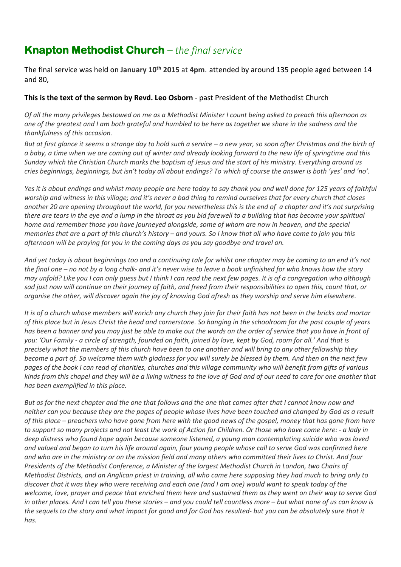# **Knapton Methodist Church** *– the final service*

The final service was held on **January 10th 2015** at **4pm**. attended by around 135 people aged between 14 and 80,

#### **This is the text of the sermon by Revd. Leo Osborn** - past President of the Methodist Church

*Of all the many privileges bestowed on me as a Methodist Minister I count being asked to preach this afternoon as one of the greatest and I am both grateful and humbled to be here as together we share in the sadness and the thankfulness of this occasion.*

*But at first glance it seems a strange day to hold such a service – a new year, so soon after Christmas and the birth of a baby, a time when we are coming out of winter and already looking forward to the new life of springtime and this Sunday which the Christian Church marks the baptism of Jesus and the start of his ministry. Everything around us cries beginnings, beginnings, but isn't today all about endings? To which of course the answer is both 'yes' and 'no'.*

*Yes it is about endings and whilst many people are here today to say thank you and well done for 125 years of faithful worship and witness in this village; and it's never a bad thing to remind ourselves that for every church that closes another 20 are opening throughout the world, for you nevertheless this is the end of a chapter and it's not surprising there are tears in the eye and a lump in the throat as you bid farewell to a building that has become your spiritual home and remember those you have journeyed alongside, some of whom are now in heaven, and the special memories that are a part of this church's history – and yours. So I know that all who have come to join you this afternoon will be praying for you in the coming days as you say goodbye and travel on.*

*And yet today is about beginnings too and a continuing tale for whilst one chapter may be coming to an end it's not the final one – no not by a long chalk- and it's never wise to leave a book unfinished for who knows how the story may unfold? Like you I can only guess but I think I can read the next few pages. It is of a congregation who although sad just now will continue on their journey of faith, and freed from their responsibilities to open this, count that, or organise the other, will discover again the joy of knowing God afresh as they worship and serve him elsewhere.*

*It is of a church whose members will enrich any church they join for their faith has not been in the bricks and mortar of this place but in Jesus Christ the head and cornerstone. So hanging in the schoolroom for the past couple of years*  has been a banner and you may just be able to make out the words on the order of service that you have in front of *you: 'Our Family - a circle of strength, founded on faith, joined by love, kept by God, room for all.' And that is precisely what the members of this church have been to one another and will bring to any other fellowship they become a part of. So welcome them with gladness for you will surely be blessed by them. And then on the next few pages of the book I can read of charities, churches and this village community who will benefit from gifts of various kinds from this chapel and they will be a living witness to the love of God and of our need to care for one another that has been exemplified in this place.*

*But as for the next chapter and the one that follows and the one that comes after that I cannot know now and neither can you because they are the pages of people whose lives have been touched and changed by God as a result of this place – preachers who have gone from here with the good news of the gospel, money that has gone from here to support so many projects and not least the work of Action for Children. Or those who have come here: - a lady in deep distress who found hope again because someone listened, a young man contemplating suicide who was loved and valued and began to turn his life around again, four young people whose call to serve God was confirmed here and who are in the ministry or on the mission field and many others who committed their lives to Christ. And four Presidents of the Methodist Conference, a Minister of the largest Methodist Church in London, two Chairs of Methodist Districts, and an Anglican priest in training, all who came here supposing they had much to bring only to discover that it was they who were receiving and each one (and I am one) would want to speak today of the welcome, love, prayer and peace that enriched them here and sustained them as they went on their way to serve God in other places. And I can tell you these stories – and you could tell countless more – but what none of us can know is the sequels to the story and what impact for good and for God has resulted- but you can be absolutely sure that it has.*